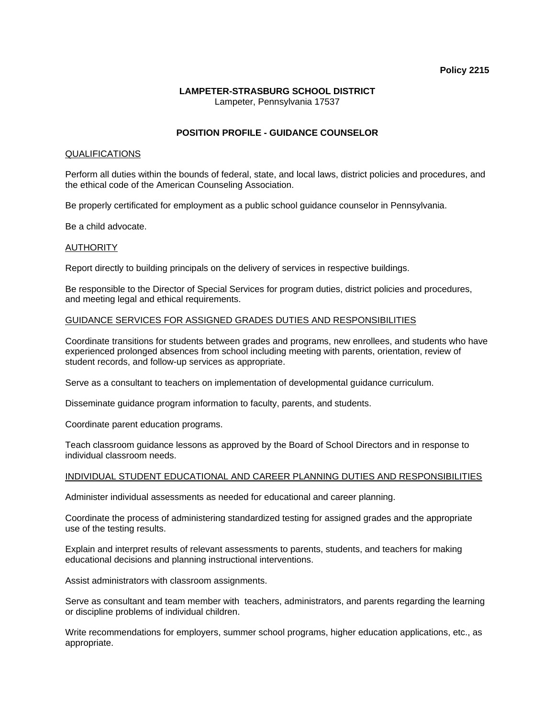# **Policy 2215**

# **LAMPETER-STRASBURG SCHOOL DISTRICT**  Lampeter, Pennsylvania 17537

# **POSITION PROFILE - GUIDANCE COUNSELOR**

# QUALIFICATIONS

Perform all duties within the bounds of federal, state, and local laws, district policies and procedures, and the ethical code of the American Counseling Association.

Be properly certificated for employment as a public school guidance counselor in Pennsylvania.

Be a child advocate.

### **AUTHORITY**

Report directly to building principals on the delivery of services in respective buildings.

Be responsible to the Director of Special Services for program duties, district policies and procedures, and meeting legal and ethical requirements.

### GUIDANCE SERVICES FOR ASSIGNED GRADES DUTIES AND RESPONSIBILITIES

Coordinate transitions for students between grades and programs, new enrollees, and students who have experienced prolonged absences from school including meeting with parents, orientation, review of student records, and follow-up services as appropriate.

Serve as a consultant to teachers on implementation of developmental guidance curriculum.

Disseminate guidance program information to faculty, parents, and students.

Coordinate parent education programs.

Teach classroom guidance lessons as approved by the Board of School Directors and in response to individual classroom needs.

#### INDIVIDUAL STUDENT EDUCATIONAL AND CAREER PLANNING DUTIES AND RESPONSIBILITIES

Administer individual assessments as needed for educational and career planning.

Coordinate the process of administering standardized testing for assigned grades and the appropriate use of the testing results.

Explain and interpret results of relevant assessments to parents, students, and teachers for making educational decisions and planning instructional interventions.

Assist administrators with classroom assignments.

Serve as consultant and team member with teachers, administrators, and parents regarding the learning or discipline problems of individual children.

Write recommendations for employers, summer school programs, higher education applications, etc., as appropriate.